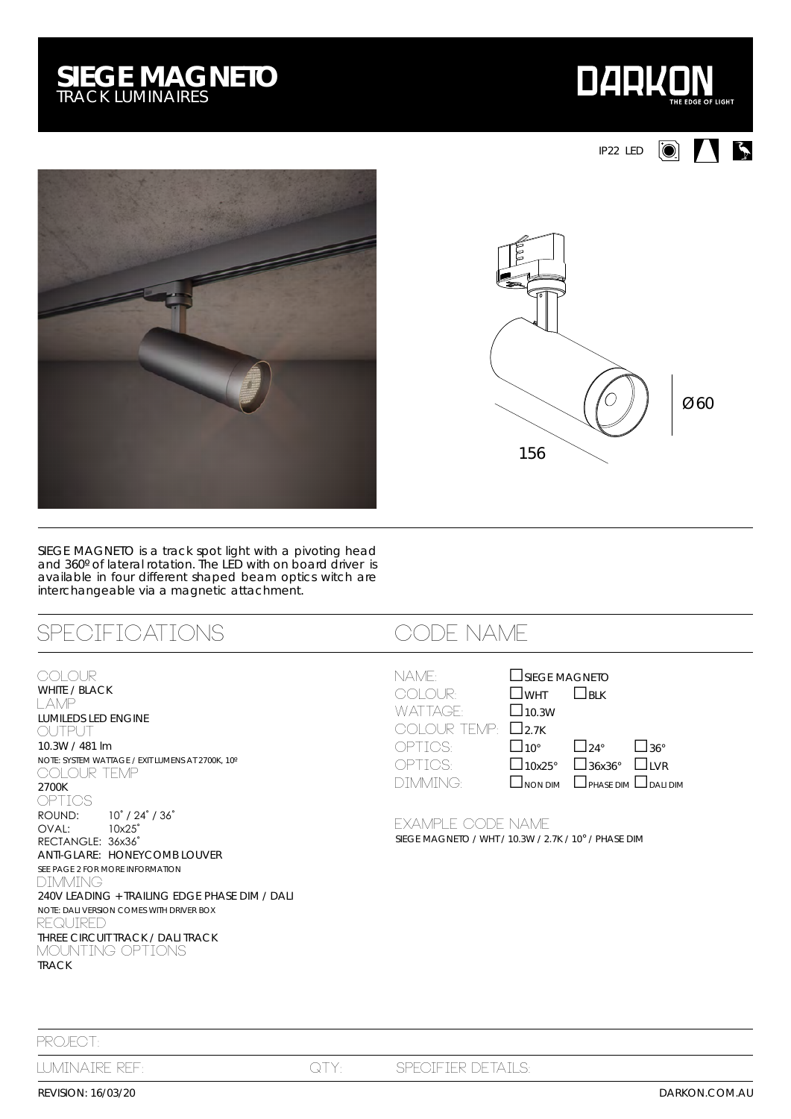## **SIEGE MAGNETO** *TRACK LUMINAIRES*





SIEGE MAGNETO is a track spot light with a pivoting head and 360º of lateral rotation. The LED with on board driver is available in four different shaped beam optics witch are interchangeable via a magnetic attachment.

# SPECIFICATIONS CODE NAME

### **COLOUR**

WHITE / BLACK LAMP LUMILEDS LED ENGINE OUTPUT 10.3W / 481 lm *NOTE: SYSTEM WATTAGE / EXIT LUMENS AT 2700K, 10º* COLOUR TEMP 2700K OPTICS<br>ROUND:  $10^\circ$  / 24 $^\circ$  / 36 $^\circ$ OVAL: 10x25˚ RECTANGLE: 36x36° ANTI-GLARE: HONEYCOMB LOUVER *SEE PAGE 2 FOR MORE INFORMATION* DIMMING 240V LEADING + TRAILING EDGE PHASE DIM / DALI *NOTE: DALI VERSION COMES WITH DRIVER BOX* REQUIRED THREE CIRCUIT TRACK / DALI TRACK MOUNTING OPTIONS TRACK

| NAME:                       | SIEGE MAGNETO               |                                                 |  |
|-----------------------------|-----------------------------|-------------------------------------------------|--|
| <b>COLOUR:</b>              | $\square$ wht $\square$ blk |                                                 |  |
| WATTAGE:                    | $\Box$ 10.3W                |                                                 |  |
| COLOUR TEMP: $\square$ 2.7K |                             |                                                 |  |
| OPTIOS:                     |                             | $\square$ 10° $\square$ 24° $\square$ 36°       |  |
| OPTIOS:                     |                             | $\Box$ 10x25° $\Box$ 36x36° $\Box$ LVR          |  |
| DIMMING:                    |                             | $\Box$ NON DIM $\Box$ PHASE DIM $\Box$ DALI DIM |  |
|                             |                             |                                                 |  |

EXAMPLE code NAME SIEGE MAGNETO / WHT / 10.3W / 2.7K / 10° / PHASE DIM

PROJECT:

REVISION: 16/03/20

luminaire ref: qty: Specifier details:



 $| \odot |$ 

**AB** 

IP22 LED